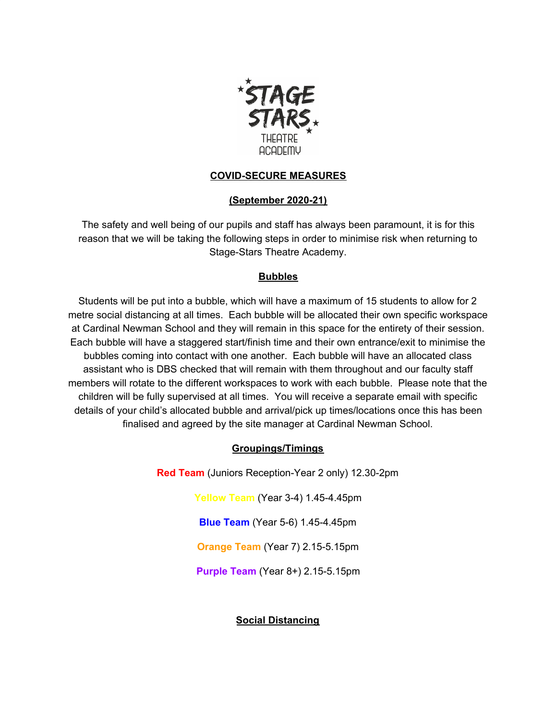

### **COVID-SECURE MEASURES**

### **(September 2020-21)**

The safety and well being of our pupils and staff has always been paramount, it is for this reason that we will be taking the following steps in order to minimise risk when returning to Stage-Stars Theatre Academy.

### **Bubbles**

Students will be put into a bubble, which will have a maximum of 15 students to allow for 2 metre social distancing at all times. Each bubble will be allocated their own specific workspace at Cardinal Newman School and they will remain in this space for the entirety of their session. Each bubble will have a staggered start/finish time and their own entrance/exit to minimise the bubbles coming into contact with one another. Each bubble will have an allocated class assistant who is DBS checked that will remain with them throughout and our faculty staff members will rotate to the different workspaces to work with each bubble. Please note that the children will be fully supervised at all times. You will receive a separate email with specific details of your child's allocated bubble and arrival/pick up times/locations once this has been finalised and agreed by the site manager at Cardinal Newman School.

# **Groupings/Timings**

**Red Team** (Juniors Reception-Year 2 only) 12.30-2pm

**Yellow Team** (Year 3-4) 1.45-4.45pm

**Blue Team** (Year 5-6) 1.45-4.45pm

**Orange Team** (Year 7) 2.15-5.15pm

**Purple Team** (Year 8+) 2.15-5.15pm

# **Social Distancing**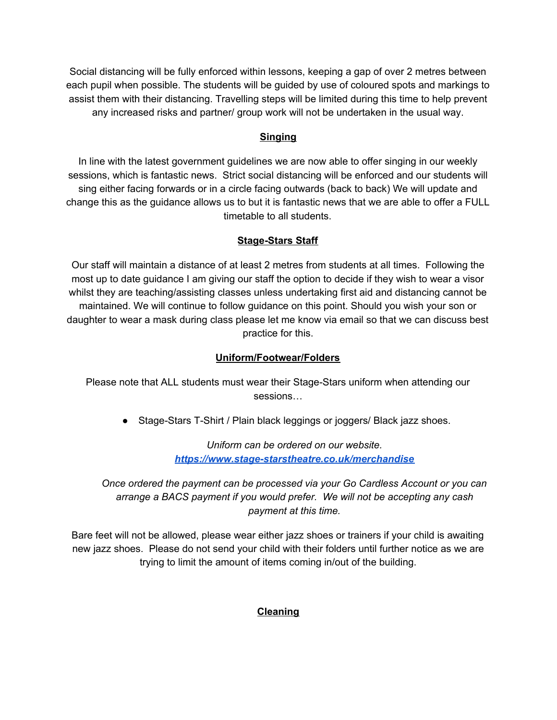Social distancing will be fully enforced within lessons, keeping a gap of over 2 metres between each pupil when possible. The students will be guided by use of coloured spots and markings to assist them with their distancing. Travelling steps will be limited during this time to help prevent any increased risks and partner/ group work will not be undertaken in the usual way.

# **Singing**

In line with the latest government guidelines we are now able to offer singing in our weekly sessions, which is fantastic news. Strict social distancing will be enforced and our students will sing either facing forwards or in a circle facing outwards (back to back) We will update and change this as the guidance allows us to but it is fantastic news that we are able to offer a FULL timetable to all students.

### **Stage-Stars Staff**

Our staff will maintain a distance of at least 2 metres from students at all times. Following the most up to date guidance I am giving our staff the option to decide if they wish to wear a visor whilst they are teaching/assisting classes unless undertaking first aid and distancing cannot be maintained. We will continue to follow guidance on this point. Should you wish your son or daughter to wear a mask during class please let me know via email so that we can discuss best practice for this.

### **Uniform/Footwear/Folders**

Please note that ALL students must wear their Stage-Stars uniform when attending our sessions…

● Stage-Stars T-Shirt / Plain black leggings or joggers/ Black jazz shoes.

*Uniform can be ordered on our website. <https://www.stage-starstheatre.co.uk/merchandise>*

*Once ordered the payment can be processed via your Go Cardless Account or you can arrange a BACS payment if you would prefer. We will not be accepting any cash payment at this time.*

Bare feet will not be allowed, please wear either jazz shoes or trainers if your child is awaiting new jazz shoes. Please do not send your child with their folders until further notice as we are trying to limit the amount of items coming in/out of the building.

#### **Cleaning**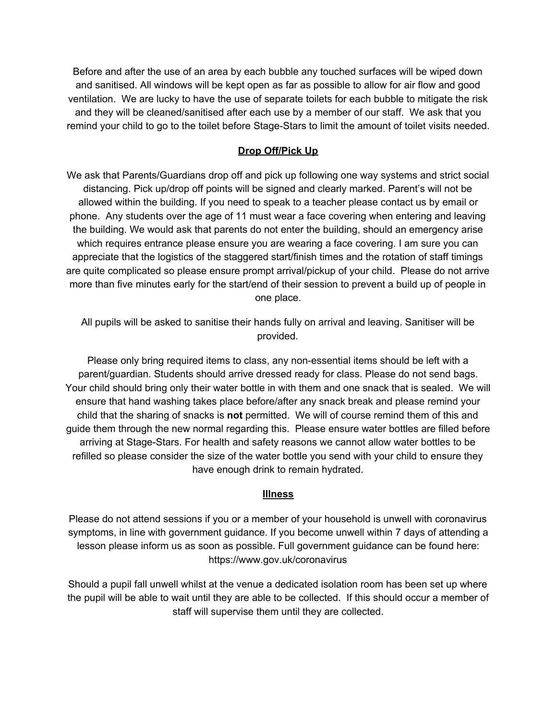Before and after the use of an area by each bubble any touched surfaces will be wiped down and sanitised. All windows will be kept open as far as possible to allow for air flow and good ventilation. We are lucky to have the use of separate toilets for each bubble to mitigate the risk and they will be cleaned/sanitised after each use by a member of our staff. We ask that you remind your child to go to the toilet before Stage-Stars to limit the amount of toilet visits needed.

#### **Drop Off/Pick Up**

We ask that Parents/Guardians drop off and pick up following one way systems and strict social distancing. Pick up/drop off points will be signed and clearly marked. Parent's will not be allowed within the building. If you need to speak to a teacher please contact us by email or phone. Any students over the age of 11 must wear a face covering when entering and leaving the building. We would ask that parents do not enter the building, should an emergency arise which requires entrance please ensure you are wearing a face covering. I am sure you can appreciate that the logistics of the staggered start/finish times and the rotation of staff timings are quite complicated so please ensure prompt arrival/pickup of your child. Please do not arrive more than five minutes early for the start/end of their session to prevent a build up of people in one place.

All pupils will be asked to sanitise their hands fully on arrival and leaving. Sanitiser will be provided.

Please only bring required items to class, any non-essential items should be left with a parent/guardian. Students should arrive dressed ready for class. Please do not send bags. Your child should bring only their water bottle in with them and one snack that is sealed. We will ensure that hand washing takes place before/after any snack break and please remind your child that the sharing of snacks is **not** permitted. We will of course remind them of this and guide them through the new normal regarding this. Please ensure water bottles are filled before arriving at Stage-Stars. For health and safety reasons we cannot allow water bottles to be refilled so please consider the size of the water bottle you send with your child to ensure they have enough drink to remain hydrated.

#### **Illness**

Please do not attend sessions if you or a member of your household is unwell with coronavirus symptoms, in line with government guidance. If you become unwell within 7 days of attending a lesson please inform us as soon as possible. Full government guidance can be found here: https://www.gov.uk/coronavirus

Should a pupil fall unwell whilst at the venue a dedicated isolation room has been set up where the pupil will be able to wait until they are able to be collected. If this should occur a member of staff will supervise them until they are collected.